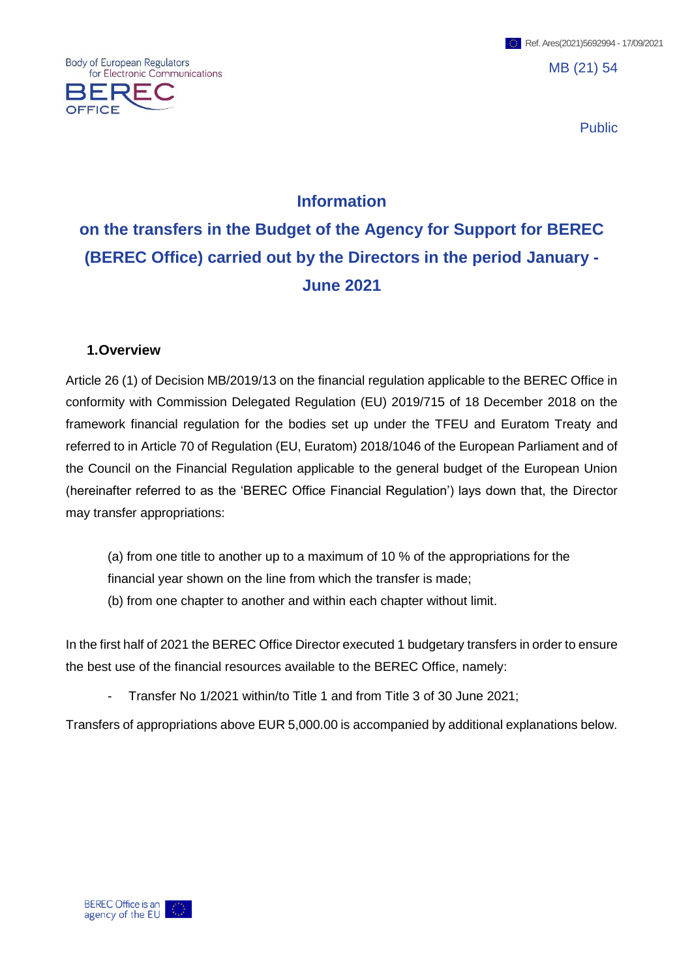MB (21) 54

Public

# **Information**

**on the transfers in the Budget of the Agency for Support for BEREC (BEREC Office) carried out by the Directors in the period January - June 2021**

#### **1.Overview**

Body of European Regulators

**OFFICE** 

for Electronic Communications

Article 26 (1) of Decision MB/2019/13 on the financial regulation applicable to the BEREC Office in conformity with Commission Delegated Regulation (EU) 2019/715 of 18 December 2018 on the framework financial regulation for the bodies set up under the TFEU and Euratom Treaty and referred to in Article 70 of Regulation (EU, Euratom) 2018/1046 of the European Parliament and of the Council on the Financial Regulation applicable to the general budget of the European Union (hereinafter referred to as the 'BEREC Office Financial Regulation') lays down that, the Director may transfer appropriations:

(a) from one title to another up to a maximum of 10 % of the appropriations for the financial year shown on the line from which the transfer is made; (b) from one chapter to another and within each chapter without limit.

In the first half of 2021 the BEREC Office Director executed 1 budgetary transfers in order to ensure the best use of the financial resources available to the BEREC Office, namely:

- Transfer No 1/2021 within/to Title 1 and from Title 3 of 30 June 2021;

Transfers of appropriations above EUR 5,000.00 is accompanied by additional explanations below.

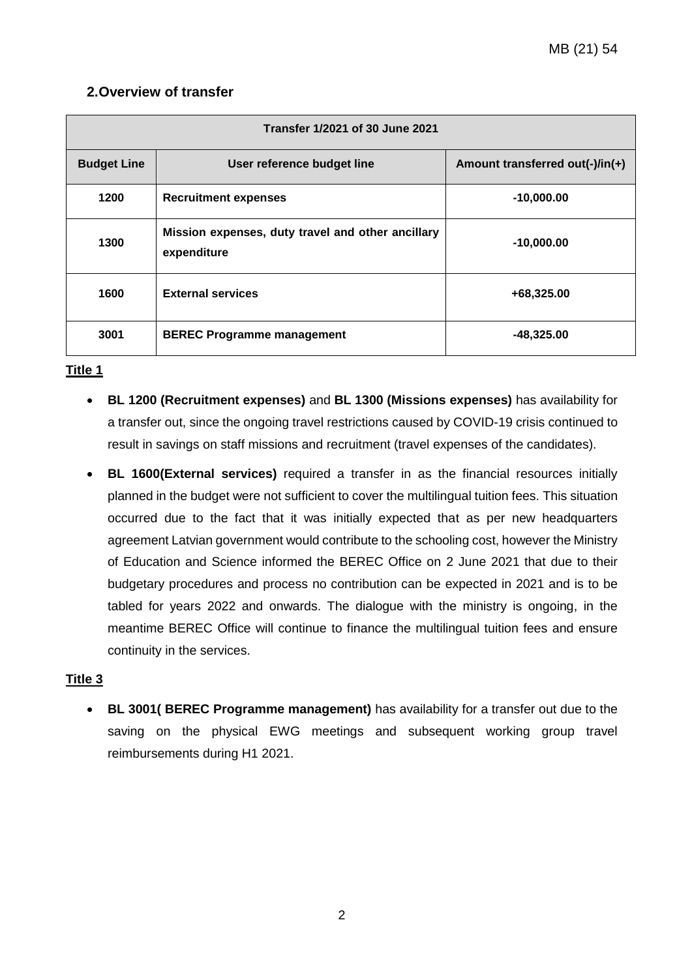## **2.Overview of transfer**

| Transfer 1/2021 of 30 June 2021 |                                                                  |                                 |  |  |  |  |  |
|---------------------------------|------------------------------------------------------------------|---------------------------------|--|--|--|--|--|
| <b>Budget Line</b>              | User reference budget line                                       | Amount transferred out(-)/in(+) |  |  |  |  |  |
| 1200                            | <b>Recruitment expenses</b>                                      | $-10,000.00$                    |  |  |  |  |  |
| 1300                            | Mission expenses, duty travel and other ancillary<br>expenditure | $-10,000.00$                    |  |  |  |  |  |
| 1600                            | <b>External services</b>                                         | +68,325.00                      |  |  |  |  |  |
| 3001                            | <b>BEREC Programme management</b>                                | $-48,325.00$                    |  |  |  |  |  |

#### **Title 1**

- **BL 1200 (Recruitment expenses)** and **BL 1300 (Missions expenses)** has availability for a transfer out, since the ongoing travel restrictions caused by COVID-19 crisis continued to result in savings on staff missions and recruitment (travel expenses of the candidates).
- **BL 1600(External services)** required a transfer in as the financial resources initially planned in the budget were not sufficient to cover the multilingual tuition fees. This situation occurred due to the fact that it was initially expected that as per new headquarters agreement Latvian government would contribute to the schooling cost, however the Ministry of Education and Science informed the BEREC Office on 2 June 2021 that due to their budgetary procedures and process no contribution can be expected in 2021 and is to be tabled for years 2022 and onwards. The dialogue with the ministry is ongoing, in the meantime BEREC Office will continue to finance the multilingual tuition fees and ensure continuity in the services.

### **Title 3**

 **BL 3001( BEREC Programme management)** has availability for a transfer out due to the saving on the physical EWG meetings and subsequent working group travel reimbursements during H1 2021.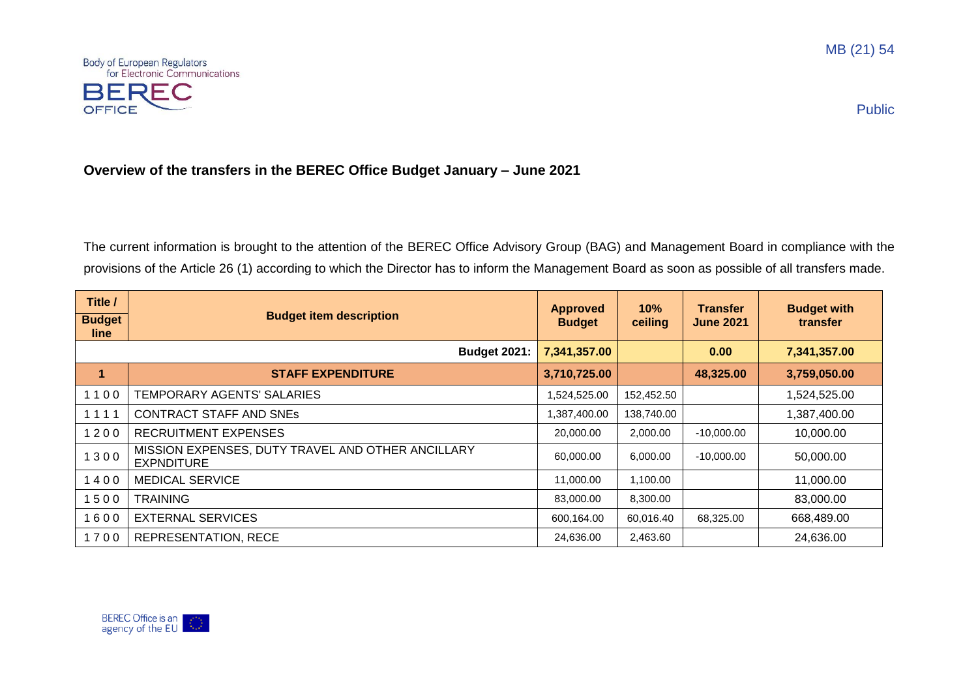



Public

## **Overview of the transfers in the BEREC Office Budget January – June 2021**

The current information is brought to the attention of the BEREC Office Advisory Group (BAG) and Management Board in compliance with the provisions of the Article 26 (1) according to which the Director has to inform the Management Board as soon as possible of all transfers made.

| Title /               |                                                                        | <b>Approved</b> | 10%        | <b>Transfer</b>  | <b>Budget with</b> |
|-----------------------|------------------------------------------------------------------------|-----------------|------------|------------------|--------------------|
| <b>Budget</b><br>line | <b>Budget item description</b>                                         | <b>Budget</b>   | ceiling    | <b>June 2021</b> | transfer           |
|                       | <b>Budget 2021:</b>                                                    | 7,341,357.00    |            | 0.00             | 7,341,357.00       |
| 1                     | <b>STAFF EXPENDITURE</b>                                               | 3,710,725.00    |            | 48,325.00        | 3,759,050.00       |
| 1100                  | TEMPORARY AGENTS' SALARIES                                             | 1,524,525.00    | 152,452.50 |                  | 1,524,525.00       |
| 1111                  | <b>CONTRACT STAFF AND SNEs</b>                                         | 1,387,400.00    | 138,740.00 |                  | 1,387,400.00       |
| 1200                  | <b>RECRUITMENT EXPENSES</b>                                            | 20,000.00       | 2,000.00   | $-10,000.00$     | 10,000.00          |
| 1300                  | MISSION EXPENSES, DUTY TRAVEL AND OTHER ANCILLARY<br><b>EXPNDITURE</b> | 60,000.00       | 6,000.00   | $-10,000.00$     | 50,000.00          |
| 1400                  | <b>MEDICAL SERVICE</b>                                                 | 11,000.00       | 1,100.00   |                  | 11,000.00          |
| 1500                  | <b>TRAINING</b>                                                        | 83,000.00       | 8,300.00   |                  | 83,000.00          |
| 1600                  | <b>EXTERNAL SERVICES</b>                                               |                 | 60,016.40  | 68,325.00        | 668,489.00         |
| 1700                  | <b>REPRESENTATION, RECE</b>                                            | 24,636.00       | 2,463.60   |                  | 24,636.00          |